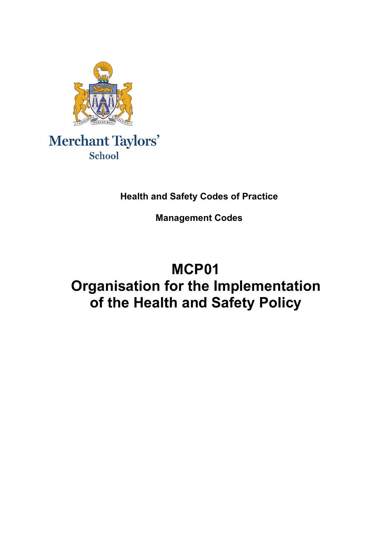

# Merchant Taylors' School

# **Health and Safety Codes of Practice**

**Management Codes**

# **MCP01 Organisation for the Implementation of the Health and Safety Policy**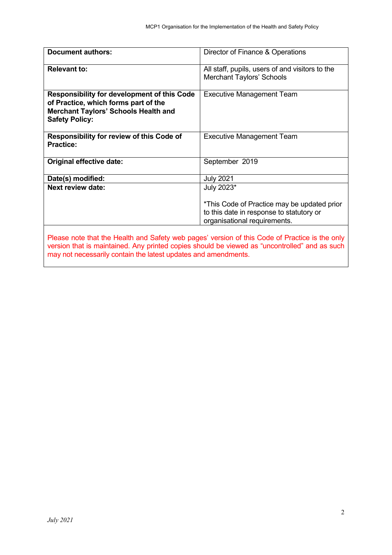| <b>Document authors:</b>                                                                                                                                                                                                                                          | Director of Finance & Operations                                                                                        |
|-------------------------------------------------------------------------------------------------------------------------------------------------------------------------------------------------------------------------------------------------------------------|-------------------------------------------------------------------------------------------------------------------------|
| <b>Relevant to:</b>                                                                                                                                                                                                                                               | All staff, pupils, users of and visitors to the<br><b>Merchant Taylors' Schools</b>                                     |
| <b>Responsibility for development of this Code</b><br>of Practice, which forms part of the<br><b>Merchant Taylors' Schools Health and</b><br><b>Safety Policy:</b>                                                                                                | <b>Executive Management Team</b>                                                                                        |
| <b>Responsibility for review of this Code of</b><br><b>Practice:</b>                                                                                                                                                                                              | <b>Executive Management Team</b>                                                                                        |
| Original effective date:                                                                                                                                                                                                                                          | September 2019                                                                                                          |
| Date(s) modified:                                                                                                                                                                                                                                                 | <b>July 2021</b>                                                                                                        |
| <b>Next review date:</b>                                                                                                                                                                                                                                          | July 2023*                                                                                                              |
|                                                                                                                                                                                                                                                                   | *This Code of Practice may be updated prior<br>to this date in response to statutory or<br>organisational requirements. |
| Please note that the Health and Safety web pages' version of this Code of Practice is the only<br>version that is maintained. Any printed copies should be viewed as "uncontrolled" and as such<br>may not necessarily contain the latest updates and amendments. |                                                                                                                         |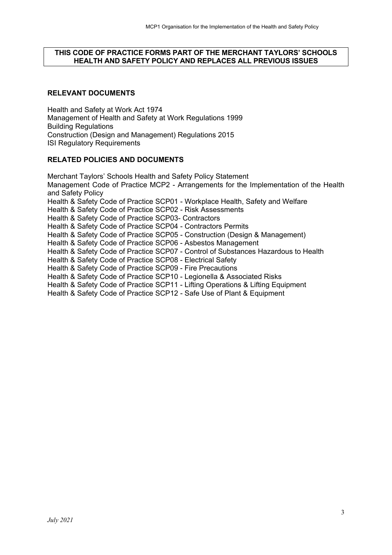#### **THIS CODE OF PRACTICE FORMS PART OF THE MERCHANT TAYLORS' SCHOOLS HEALTH AND SAFETY POLICY AND REPLACES ALL PREVIOUS ISSUES**

## **RELEVANT DOCUMENTS**

Health and Safety at Work Act 1974 Management of Health and Safety at Work Regulations 1999 Building Regulations Construction (Design and Management) Regulations 2015 ISI Regulatory Requirements

#### **RELATED POLICIES AND DOCUMENTS**

Merchant Taylors' Schools Health and Safety Policy Statement Management Code of Practice MCP2 - Arrangements for the Implementation of the Health and Safety Policy Health & Safety Code of Practice SCP01 - Workplace Health, Safety and Welfare Health & Safety Code of Practice SCP02 - Risk Assessments Health & Safety Code of Practice SCP03- Contractors Health & Safety Code of Practice SCP04 - Contractors Permits Health & Safety Code of Practice SCP05 - Construction (Design & Management) Health & Safety Code of Practice SCP06 - Asbestos Management Health & Safety Code of Practice SCP07 - Control of Substances Hazardous to Health Health & Safety Code of Practice SCP08 - Electrical Safety Health & Safety Code of Practice SCP09 - Fire Precautions Health & Safety Code of Practice SCP10 - Legionella & Associated Risks Health & Safety Code of Practice SCP11 - Lifting Operations & Lifting Equipment Health & Safety Code of Practice SCP12 - Safe Use of Plant & Equipment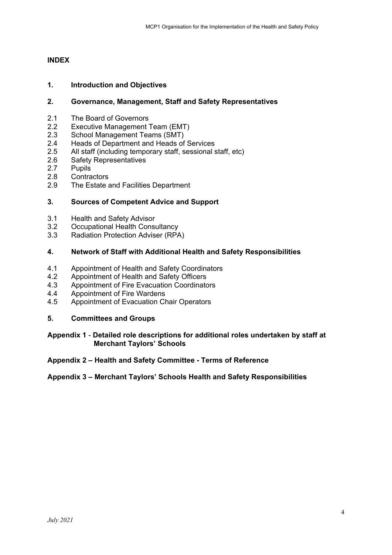### **INDEX**

#### **1. Introduction and Objectives**

#### **2. Governance, Management, Staff and Safety Representatives**

- 2.1 The Board of Governors<br>2.2 Executive Management
- 2.2 Executive Management Team (EMT)<br>2.3 School Management Teams (SMT)
- School Management Teams (SMT)
- 2.4 Heads of Department and Heads of Services
- 2.5 All staff (including temporary staff, sessional staff, etc)
- 2.6 Safety Representatives
- 2.7 Pupils<br>2.8 Contra
- **Contractors**
- 2.9 The Estate and Facilities Department

#### **3. Sources of Competent Advice and Support**

- 3.1 Health and Safety Advisor
- 3.2 Occupational Health Consultancy
- 3.3 Radiation Protection Adviser (RPA)

#### **4. Network of Staff with Additional Health and Safety Responsibilities**

- 4.1 Appointment of Health and Safety Coordinators
- 4.2 Appointment of Health and Safety Officers<br>4.3 Appointment of Fire Evacuation Coordinate
- 4.3 Appointment of Fire Evacuation Coordinators<br>4.4 Appointment of Fire Wardens
- Appointment of Fire Wardens
- 4.5 Appointment of Evacuation Chair Operators

#### **5. Committees and Groups**

#### **Appendix 1** - **Detailed role descriptions for additional roles undertaken by staff at Merchant Taylors' Schools**

#### **Appendix 2 – Health and Safety Committee - Terms of Reference**

#### **Appendix 3 – Merchant Taylors' Schools Health and Safety Responsibilities**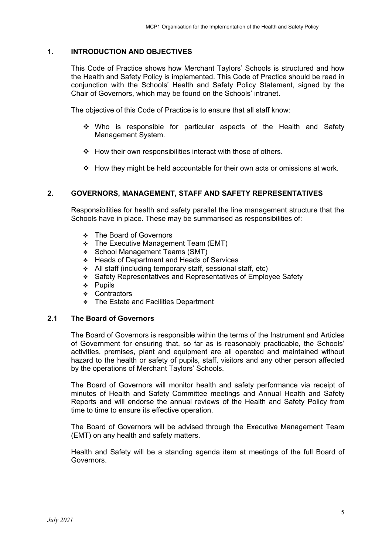#### **1. INTRODUCTION AND OBJECTIVES**

This Code of Practice shows how Merchant Taylors' Schools is structured and how the Health and Safety Policy is implemented. This Code of Practice should be read in conjunction with the Schools' Health and Safety Policy Statement, signed by the Chair of Governors, which may be found on the Schools' intranet.

The objective of this Code of Practice is to ensure that all staff know:

- Who is responsible for particular aspects of the Health and Safety Management System.
- $\div$  How their own responsibilities interact with those of others.
- $\div$  How they might be held accountable for their own acts or omissions at work.

#### **2. GOVERNORS, MANAGEMENT, STAFF AND SAFETY REPRESENTATIVES**

Responsibilities for health and safety parallel the line management structure that the Schools have in place. These may be summarised as responsibilities of:

- The Board of Governors
- **\*** The Executive Management Team (EMT)
- ❖ School Management Teams (SMT)
- Heads of Department and Heads of Services
- All staff (including temporary staff, sessional staff, etc)
- Safety Representatives and Representatives of Employee Safety
- $\div$  Pupils
- ❖ Contractors
- **↑ The Estate and Facilities Department**

#### **2.1 The Board of Governors**

The Board of Governors is responsible within the terms of the Instrument and Articles of Government for ensuring that, so far as is reasonably practicable, the Schools' activities, premises, plant and equipment are all operated and maintained without hazard to the health or safety of pupils, staff, visitors and any other person affected by the operations of Merchant Taylors' Schools.

The Board of Governors will monitor health and safety performance via receipt of minutes of Health and Safety Committee meetings and Annual Health and Safety Reports and will endorse the annual reviews of the Health and Safety Policy from time to time to ensure its effective operation.

The Board of Governors will be advised through the Executive Management Team (EMT) on any health and safety matters.

Health and Safety will be a standing agenda item at meetings of the full Board of Governors.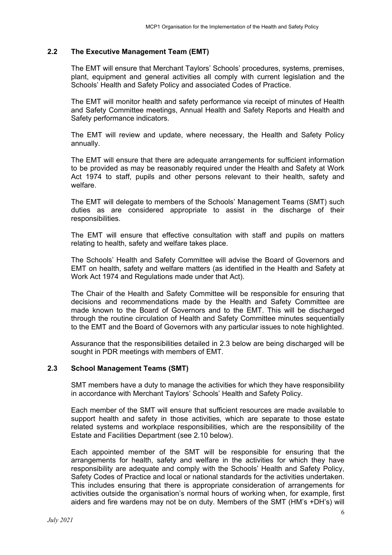#### **2.2 The Executive Management Team (EMT)**

The EMT will ensure that Merchant Taylors' Schools' procedures, systems, premises, plant, equipment and general activities all comply with current legislation and the Schools' Health and Safety Policy and associated Codes of Practice.

The EMT will monitor health and safety performance via receipt of minutes of Health and Safety Committee meetings, Annual Health and Safety Reports and Health and Safety performance indicators.

The EMT will review and update, where necessary, the Health and Safety Policy annually.

The EMT will ensure that there are adequate arrangements for sufficient information to be provided as may be reasonably required under the Health and Safety at Work Act 1974 to staff, pupils and other persons relevant to their health, safety and welfare.

The EMT will delegate to members of the Schools' Management Teams (SMT) such duties as are considered appropriate to assist in the discharge of their responsibilities.

The EMT will ensure that effective consultation with staff and pupils on matters relating to health, safety and welfare takes place.

The Schools' Health and Safety Committee will advise the Board of Governors and EMT on health, safety and welfare matters (as identified in the Health and Safety at Work Act 1974 and Regulations made under that Act).

The Chair of the Health and Safety Committee will be responsible for ensuring that decisions and recommendations made by the Health and Safety Committee are made known to the Board of Governors and to the EMT. This will be discharged through the routine circulation of Health and Safety Committee minutes sequentially to the EMT and the Board of Governors with any particular issues to note highlighted.

Assurance that the responsibilities detailed in 2.3 below are being discharged will be sought in PDR meetings with members of EMT.

#### **2.3 School Management Teams (SMT)**

SMT members have a duty to manage the activities for which they have responsibility in accordance with Merchant Taylors' Schools' Health and Safety Policy.

Each member of the SMT will ensure that sufficient resources are made available to support health and safety in those activities, which are separate to those estate related systems and workplace responsibilities, which are the responsibility of the Estate and Facilities Department (see 2.10 below).

Each appointed member of the SMT will be responsible for ensuring that the arrangements for health, safety and welfare in the activities for which they have responsibility are adequate and comply with the Schools' Health and Safety Policy, Safety Codes of Practice and local or national standards for the activities undertaken. This includes ensuring that there is appropriate consideration of arrangements for activities outside the organisation's normal hours of working when, for example, first aiders and fire wardens may not be on duty. Members of the SMT (HM's +DH's) will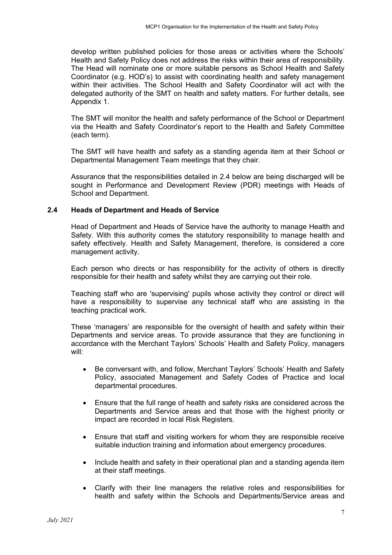develop written published policies for those areas or activities where the Schools' Health and Safety Policy does not address the risks within their area of responsibility. The Head will nominate one or more suitable persons as School Health and Safety Coordinator (e.g. HOD's) to assist with coordinating health and safety management within their activities. The School Health and Safety Coordinator will act with the delegated authority of the SMT on health and safety matters. For further details, see Appendix 1.

The SMT will monitor the health and safety performance of the School or Department via the Health and Safety Coordinator's report to the Health and Safety Committee (each term).

The SMT will have health and safety as a standing agenda item at their School or Departmental Management Team meetings that they chair.

Assurance that the responsibilities detailed in 2.4 below are being discharged will be sought in Performance and Development Review (PDR) meetings with Heads of School and Department.

#### **2.4 Heads of Department and Heads of Service**

Head of Department and Heads of Service have the authority to manage Health and Safety. With this authority comes the statutory responsibility to manage health and safety effectively. Health and Safety Management, therefore, is considered a core management activity.

Each person who directs or has responsibility for the activity of others is directly responsible for their health and safety whilst they are carrying out their role.

Teaching staff who are 'supervising' pupils whose activity they control or direct will have a responsibility to supervise any technical staff who are assisting in the teaching practical work.

These 'managers' are responsible for the oversight of health and safety within their Departments and service areas. To provide assurance that they are functioning in accordance with the Merchant Taylors' Schools' Health and Safety Policy, managers will:

- Be conversant with, and follow, Merchant Taylors' Schools' Health and Safety Policy, associated Management and Safety Codes of Practice and local departmental procedures.
- Ensure that the full range of health and safety risks are considered across the Departments and Service areas and that those with the highest priority or impact are recorded in local Risk Registers.
- Ensure that staff and visiting workers for whom they are responsible receive suitable induction training and information about emergency procedures.
- Include health and safety in their operational plan and a standing agenda item at their staff meetings.
- Clarify with their line managers the relative roles and responsibilities for health and safety within the Schools and Departments/Service areas and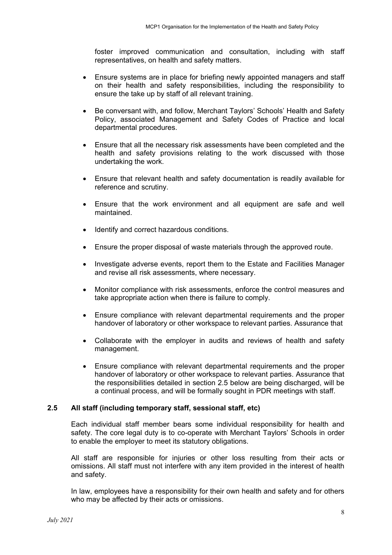foster improved communication and consultation, including with staff representatives, on health and safety matters.

- Ensure systems are in place for briefing newly appointed managers and staff on their health and safety responsibilities, including the responsibility to ensure the take up by staff of all relevant training.
- Be conversant with, and follow, Merchant Taylors' Schools' Health and Safety Policy, associated Management and Safety Codes of Practice and local departmental procedures.
- Ensure that all the necessary risk assessments have been completed and the health and safety provisions relating to the work discussed with those undertaking the work.
- Ensure that relevant health and safety documentation is readily available for reference and scrutiny.
- Ensure that the work environment and all equipment are safe and well maintained.
- Identify and correct hazardous conditions.
- Ensure the proper disposal of waste materials through the approved route.
- Investigate adverse events, report them to the Estate and Facilities Manager and revise all risk assessments, where necessary.
- Monitor compliance with risk assessments, enforce the control measures and take appropriate action when there is failure to comply.
- Ensure compliance with relevant departmental requirements and the proper handover of laboratory or other workspace to relevant parties. Assurance that
- Collaborate with the employer in audits and reviews of health and safety management.
- Ensure compliance with relevant departmental requirements and the proper handover of laboratory or other workspace to relevant parties. Assurance that the responsibilities detailed in section 2.5 below are being discharged, will be a continual process, and will be formally sought in PDR meetings with staff.

### **2.5 All staff (including temporary staff, sessional staff, etc)**

Each individual staff member bears some individual responsibility for health and safety. The core legal duty is to co-operate with Merchant Taylors' Schools in order to enable the employer to meet its statutory obligations.

All staff are responsible for injuries or other loss resulting from their acts or omissions. All staff must not interfere with any item provided in the interest of health and safety.

In law, employees have a responsibility for their own health and safety and for others who may be affected by their acts or omissions.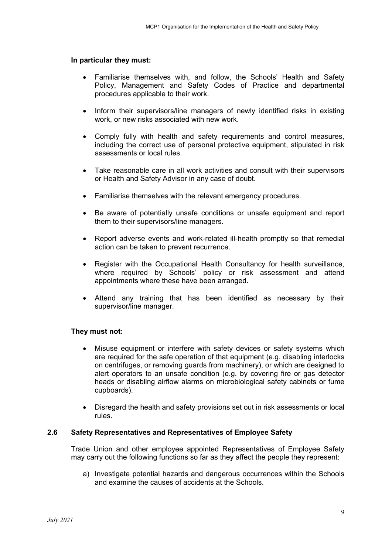#### **In particular they must:**

- Familiarise themselves with, and follow, the Schools' Health and Safety Policy, Management and Safety Codes of Practice and departmental procedures applicable to their work.
- Inform their supervisors/line managers of newly identified risks in existing work, or new risks associated with new work.
- Comply fully with health and safety requirements and control measures, including the correct use of personal protective equipment, stipulated in risk assessments or local rules.
- Take reasonable care in all work activities and consult with their supervisors or Health and Safety Advisor in any case of doubt.
- Familiarise themselves with the relevant emergency procedures.
- Be aware of potentially unsafe conditions or unsafe equipment and report them to their supervisors/line managers.
- Report adverse events and work-related ill-health promptly so that remedial action can be taken to prevent recurrence.
- Register with the Occupational Health Consultancy for health surveillance, where required by Schools' policy or risk assessment and attend appointments where these have been arranged.
- Attend any training that has been identified as necessary by their supervisor/line manager.

#### **They must not:**

- Misuse equipment or interfere with safety devices or safety systems which are required for the safe operation of that equipment (e.g. disabling interlocks on centrifuges, or removing guards from machinery), or which are designed to alert operators to an unsafe condition (e.g. by covering fire or gas detector heads or disabling airflow alarms on microbiological safety cabinets or fume cupboards).
- Disregard the health and safety provisions set out in risk assessments or local rules.

### **2.6 Safety Representatives and Representatives of Employee Safety**

Trade Union and other employee appointed Representatives of Employee Safety may carry out the following functions so far as they affect the people they represent:

a) Investigate potential hazards and dangerous occurrences within the Schools and examine the causes of accidents at the Schools.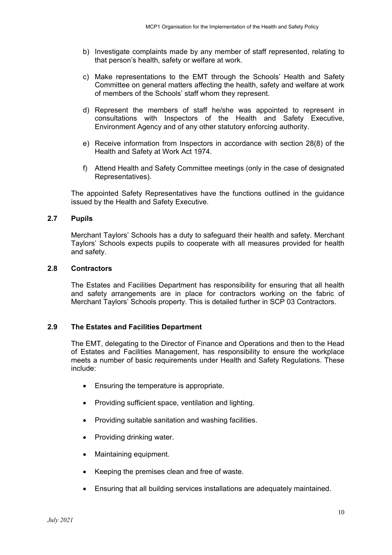- b) Investigate complaints made by any member of staff represented, relating to that person's health, safety or welfare at work.
- c) Make representations to the EMT through the Schools' Health and Safety Committee on general matters affecting the health, safety and welfare at work of members of the Schools' staff whom they represent.
- d) Represent the members of staff he/she was appointed to represent in consultations with Inspectors of the Health and Safety Executive, Environment Agency and of any other statutory enforcing authority.
- e) Receive information from Inspectors in accordance with section 28(8) of the Health and Safety at Work Act 1974.
- f) Attend Health and Safety Committee meetings (only in the case of designated Representatives).

The appointed Safety Representatives have the functions outlined in the guidance issued by the Health and Safety Executive.

#### **2.7 Pupils**

Merchant Taylors' Schools has a duty to safeguard their health and safety. Merchant Taylors' Schools expects pupils to cooperate with all measures provided for health and safety.

#### **2.8 Contractors**

The Estates and Facilities Department has responsibility for ensuring that all health and safety arrangements are in place for contractors working on the fabric of Merchant Taylors' Schools property. This is detailed further in SCP 03 Contractors.

#### **2.9 The Estates and Facilities Department**

The EMT, delegating to the Director of Finance and Operations and then to the Head of Estates and Facilities Management, has responsibility to ensure the workplace meets a number of basic requirements under Health and Safety Regulations. These include:

- Ensuring the temperature is appropriate.
- Providing sufficient space, ventilation and lighting.
- Providing suitable sanitation and washing facilities.
- Providing drinking water.
- Maintaining equipment.
- Keeping the premises clean and free of waste.
- Ensuring that all building services installations are adequately maintained.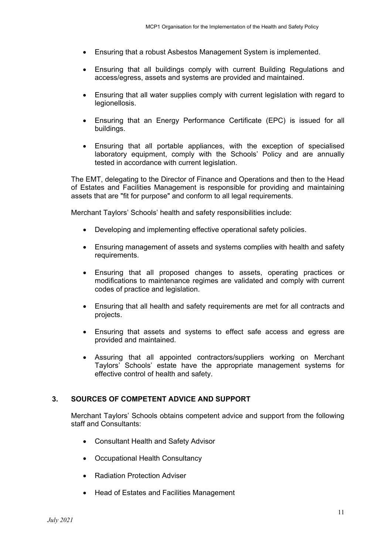- Ensuring that a robust Asbestos Management System is implemented.
- Ensuring that all buildings comply with current Building Regulations and access/egress, assets and systems are provided and maintained.
- Ensuring that all water supplies comply with current legislation with regard to legionellosis.
- Ensuring that an Energy Performance Certificate (EPC) is issued for all buildings.
- Ensuring that all portable appliances, with the exception of specialised laboratory equipment, comply with the Schools' Policy and are annually tested in accordance with current legislation.

The EMT, delegating to the Director of Finance and Operations and then to the Head of Estates and Facilities Management is responsible for providing and maintaining assets that are "fit for purpose" and conform to all legal requirements.

Merchant Taylors' Schools' health and safety responsibilities include:

- Developing and implementing effective operational safety policies.
- Ensuring management of assets and systems complies with health and safety requirements.
- Ensuring that all proposed changes to assets, operating practices or modifications to maintenance regimes are validated and comply with current codes of practice and legislation.
- Ensuring that all health and safety requirements are met for all contracts and projects.
- Ensuring that assets and systems to effect safe access and egress are provided and maintained.
- Assuring that all appointed contractors/suppliers working on Merchant Taylors' Schools' estate have the appropriate management systems for effective control of health and safety.

#### **3. SOURCES OF COMPETENT ADVICE AND SUPPORT**

Merchant Taylors' Schools obtains competent advice and support from the following staff and Consultants:

- Consultant Health and Safety Advisor
- Occupational Health Consultancy
- Radiation Protection Adviser
- Head of Estates and Facilities Management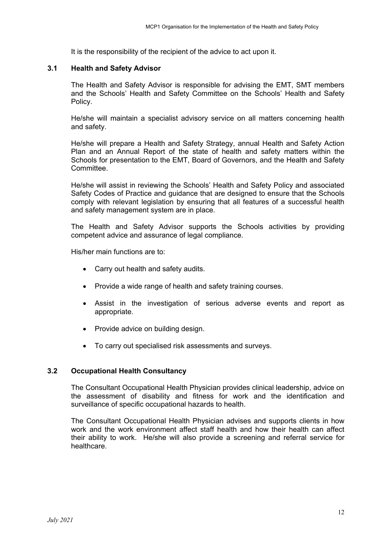It is the responsibility of the recipient of the advice to act upon it.

#### **3.1 Health and Safety Advisor**

The Health and Safety Advisor is responsible for advising the EMT, SMT members and the Schools' Health and Safety Committee on the Schools' Health and Safety Policy.

He/she will maintain a specialist advisory service on all matters concerning health and safety.

He/she will prepare a Health and Safety Strategy, annual Health and Safety Action Plan and an Annual Report of the state of health and safety matters within the Schools for presentation to the EMT, Board of Governors, and the Health and Safety Committee.

He/she will assist in reviewing the Schools' Health and Safety Policy and associated Safety Codes of Practice and guidance that are designed to ensure that the Schools comply with relevant legislation by ensuring that all features of a successful health and safety management system are in place.

The Health and Safety Advisor supports the Schools activities by providing competent advice and assurance of legal compliance.

His/her main functions are to:

- Carry out health and safety audits.
- Provide a wide range of health and safety training courses.
- Assist in the investigation of serious adverse events and report as appropriate.
- Provide advice on building design.
- To carry out specialised risk assessments and surveys.

### **3.2 Occupational Health Consultancy**

The Consultant Occupational Health Physician provides clinical leadership, advice on the assessment of disability and fitness for work and the identification and surveillance of specific occupational hazards to health.

The Consultant Occupational Health Physician advises and supports clients in how work and the work environment affect staff health and how their health can affect their ability to work. He/she will also provide a screening and referral service for healthcare.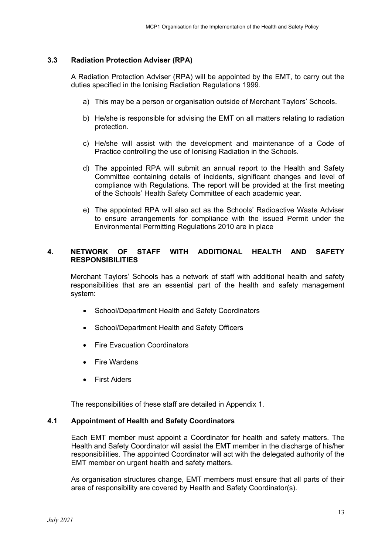### **3.3 Radiation Protection Adviser (RPA)**

A Radiation Protection Adviser (RPA) will be appointed by the EMT, to carry out the duties specified in the Ionising Radiation Regulations 1999.

- a) This may be a person or organisation outside of Merchant Taylors' Schools.
- b) He/she is responsible for advising the EMT on all matters relating to radiation protection.
- c) He/she will assist with the development and maintenance of a Code of Practice controlling the use of Ionising Radiation in the Schools.
- d) The appointed RPA will submit an annual report to the Health and Safety Committee containing details of incidents, significant changes and level of compliance with Regulations. The report will be provided at the first meeting of the Schools' Health Safety Committee of each academic year.
- e) The appointed RPA will also act as the Schools' Radioactive Waste Adviser to ensure arrangements for compliance with the issued Permit under the Environmental Permitting Regulations 2010 are in place

## **4. NETWORK OF STAFF WITH ADDITIONAL HEALTH AND SAFETY RESPONSIBILITIES**

Merchant Taylors' Schools has a network of staff with additional health and safety responsibilities that are an essential part of the health and safety management system:

- School/Department Health and Safety Coordinators
- School/Department Health and Safety Officers
- Fire Evacuation Coordinators
- Fire Wardens
- First Aiders

The responsibilities of these staff are detailed in Appendix 1.

#### **4.1 Appointment of Health and Safety Coordinators**

Each EMT member must appoint a Coordinator for health and safety matters. The Health and Safety Coordinator will assist the EMT member in the discharge of his/her responsibilities. The appointed Coordinator will act with the delegated authority of the EMT member on urgent health and safety matters.

As organisation structures change, EMT members must ensure that all parts of their area of responsibility are covered by Health and Safety Coordinator(s).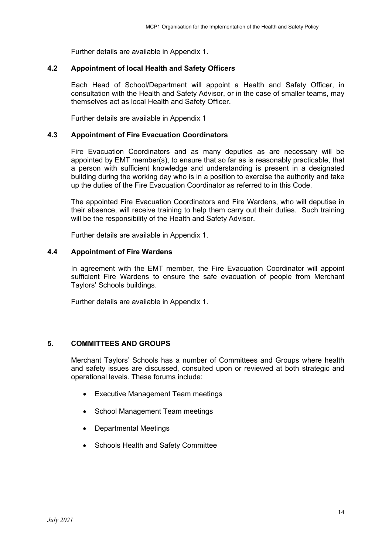Further details are available in Appendix 1.

#### **4.2 Appointment of local Health and Safety Officers**

Each Head of School/Department will appoint a Health and Safety Officer, in consultation with the Health and Safety Advisor, or in the case of smaller teams, may themselves act as local Health and Safety Officer.

Further details are available in Appendix 1

#### **4.3 Appointment of Fire Evacuation Coordinators**

Fire Evacuation Coordinators and as many deputies as are necessary will be appointed by EMT member(s), to ensure that so far as is reasonably practicable, that a person with sufficient knowledge and understanding is present in a designated building during the working day who is in a position to exercise the authority and take up the duties of the Fire Evacuation Coordinator as referred to in this Code.

The appointed Fire Evacuation Coordinators and Fire Wardens, who will deputise in their absence, will receive training to help them carry out their duties. Such training will be the responsibility of the Health and Safety Advisor.

Further details are available in Appendix 1.

#### **4.4 Appointment of Fire Wardens**

In agreement with the EMT member, the Fire Evacuation Coordinator will appoint sufficient Fire Wardens to ensure the safe evacuation of people from Merchant Taylors' Schools buildings.

Further details are available in Appendix 1.

#### **5. COMMITTEES AND GROUPS**

Merchant Taylors' Schools has a number of Committees and Groups where health and safety issues are discussed, consulted upon or reviewed at both strategic and operational levels. These forums include:

- Executive Management Team meetings
- School Management Team meetings
- Departmental Meetings
- Schools Health and Safety Committee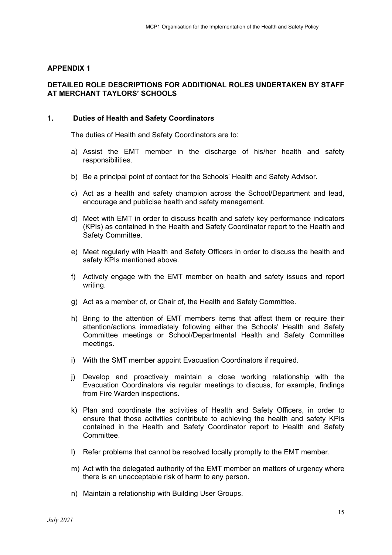#### **APPENDIX 1**

#### **DETAILED ROLE DESCRIPTIONS FOR ADDITIONAL ROLES UNDERTAKEN BY STAFF AT MERCHANT TAYLORS' SCHOOLS**

#### **1. Duties of Health and Safety Coordinators**

The duties of Health and Safety Coordinators are to:

- a) Assist the EMT member in the discharge of his/her health and safety responsibilities.
- b) Be a principal point of contact for the Schools' Health and Safety Advisor.
- c) Act as a health and safety champion across the School/Department and lead, encourage and publicise health and safety management.
- d) Meet with EMT in order to discuss health and safety key performance indicators (KPIs) as contained in the Health and Safety Coordinator report to the Health and Safety Committee.
- e) Meet regularly with Health and Safety Officers in order to discuss the health and safety KPIs mentioned above.
- f) Actively engage with the EMT member on health and safety issues and report writing.
- g) Act as a member of, or Chair of, the Health and Safety Committee.
- h) Bring to the attention of EMT members items that affect them or require their attention/actions immediately following either the Schools' Health and Safety Committee meetings or School/Departmental Health and Safety Committee meetings.
- i) With the SMT member appoint Evacuation Coordinators if required.
- j) Develop and proactively maintain a close working relationship with the Evacuation Coordinators via regular meetings to discuss, for example, findings from Fire Warden inspections.
- k) Plan and coordinate the activities of Health and Safety Officers, in order to ensure that those activities contribute to achieving the health and safety KPIs contained in the Health and Safety Coordinator report to Health and Safety Committee.
- l) Refer problems that cannot be resolved locally promptly to the EMT member.
- m) Act with the delegated authority of the EMT member on matters of urgency where there is an unacceptable risk of harm to any person.
- n) Maintain a relationship with Building User Groups.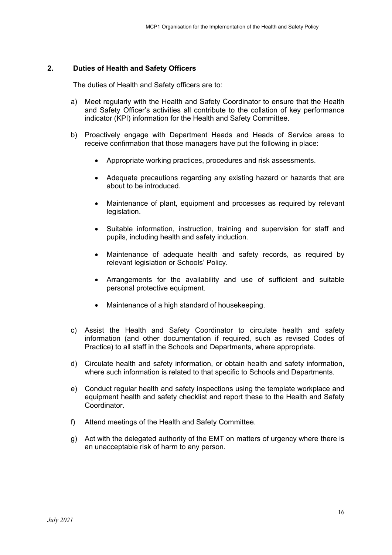#### **2. Duties of Health and Safety Officers**

The duties of Health and Safety officers are to:

- a) Meet regularly with the Health and Safety Coordinator to ensure that the Health and Safety Officer's activities all contribute to the collation of key performance indicator (KPI) information for the Health and Safety Committee.
- b) Proactively engage with Department Heads and Heads of Service areas to receive confirmation that those managers have put the following in place:
	- Appropriate working practices, procedures and risk assessments.
	- Adequate precautions regarding any existing hazard or hazards that are about to be introduced.
	- Maintenance of plant, equipment and processes as required by relevant legislation.
	- Suitable information, instruction, training and supervision for staff and pupils, including health and safety induction.
	- Maintenance of adequate health and safety records, as required by relevant legislation or Schools' Policy.
	- Arrangements for the availability and use of sufficient and suitable personal protective equipment.
	- Maintenance of a high standard of housekeeping.
- c) Assist the Health and Safety Coordinator to circulate health and safety information (and other documentation if required, such as revised Codes of Practice) to all staff in the Schools and Departments, where appropriate.
- d) Circulate health and safety information, or obtain health and safety information, where such information is related to that specific to Schools and Departments.
- e) Conduct regular health and safety inspections using the template workplace and equipment health and safety checklist and report these to the Health and Safety Coordinator.
- f) Attend meetings of the Health and Safety Committee.
- g) Act with the delegated authority of the EMT on matters of urgency where there is an unacceptable risk of harm to any person.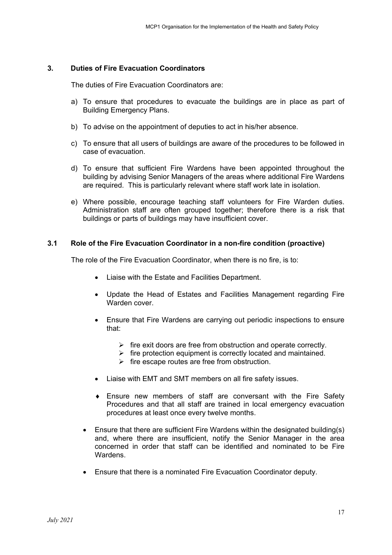#### **3. Duties of Fire Evacuation Coordinators**

The duties of Fire Evacuation Coordinators are:

- a) To ensure that procedures to evacuate the buildings are in place as part of Building Emergency Plans.
- b) To advise on the appointment of deputies to act in his/her absence.
- c) To ensure that all users of buildings are aware of the procedures to be followed in case of evacuation.
- d) To ensure that sufficient Fire Wardens have been appointed throughout the building by advising Senior Managers of the areas where additional Fire Wardens are required. This is particularly relevant where staff work late in isolation.
- e) Where possible, encourage teaching staff volunteers for Fire Warden duties. Administration staff are often grouped together; therefore there is a risk that buildings or parts of buildings may have insufficient cover.

#### **3.1 Role of the Fire Evacuation Coordinator in a non-fire condition (proactive)**

The role of the Fire Evacuation Coordinator, when there is no fire, is to:

- Liaise with the Estate and Facilities Department.
- Update the Head of Estates and Facilities Management regarding Fire Warden cover.
- Ensure that Fire Wardens are carrying out periodic inspections to ensure that:
	- $\triangleright$  fire exit doors are free from obstruction and operate correctly.
	- $\triangleright$  fire protection equipment is correctly located and maintained.
	- $\triangleright$  fire escape routes are free from obstruction.
- Liaise with EMT and SMT members on all fire safety issues.
- ♦ Ensure new members of staff are conversant with the Fire Safety Procedures and that all staff are trained in local emergency evacuation procedures at least once every twelve months.
- Ensure that there are sufficient Fire Wardens within the designated building(s) and, where there are insufficient, notify the Senior Manager in the area concerned in order that staff can be identified and nominated to be Fire Wardens.
- Ensure that there is a nominated Fire Evacuation Coordinator deputy.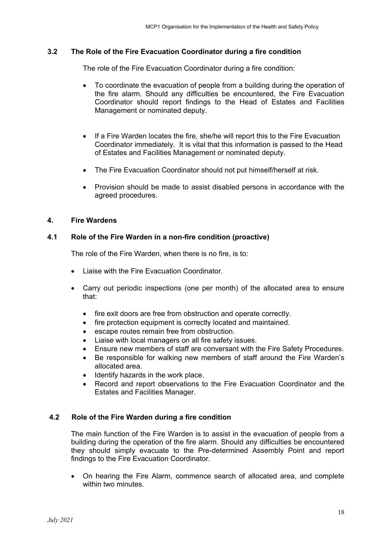#### **3.2 The Role of the Fire Evacuation Coordinator during a fire condition**

The role of the Fire Evacuation Coordinator during a fire condition:

- To coordinate the evacuation of people from a building during the operation of the fire alarm. Should any difficulties be encountered, the Fire Evacuation Coordinator should report findings to the Head of Estates and Facilities Management or nominated deputy.
- If a Fire Warden locates the fire, she/he will report this to the Fire Evacuation Coordinator immediately. It is vital that this information is passed to the Head of Estates and Facilities Management or nominated deputy.
- The Fire Evacuation Coordinator should not put himself/herself at risk.
- Provision should be made to assist disabled persons in accordance with the agreed procedures.

#### **4. Fire Wardens**

#### **4.1 Role of the Fire Warden in a non-fire condition (proactive)**

The role of the Fire Warden, when there is no fire, is to:

- Liaise with the Fire Evacuation Coordinator.
- Carry out periodic inspections (one per month) of the allocated area to ensure that:
	- fire exit doors are free from obstruction and operate correctly.
	- fire protection equipment is correctly located and maintained.
	- escape routes remain free from obstruction.
	- Liaise with local managers on all fire safety issues.
	- Ensure new members of staff are conversant with the Fire Safety Procedures.
	- Be responsible for walking new members of staff around the Fire Warden's allocated area.
	- Identify hazards in the work place.
	- Record and report observations to the Fire Evacuation Coordinator and the Estates and Facilities Manager.

#### **4.2 Role of the Fire Warden during a fire condition**

The main function of the Fire Warden is to assist in the evacuation of people from a building during the operation of the fire alarm. Should any difficulties be encountered they should simply evacuate to the Pre-determined Assembly Point and report findings to the Fire Evacuation Coordinator.

• On hearing the Fire Alarm, commence search of allocated area, and complete within two minutes.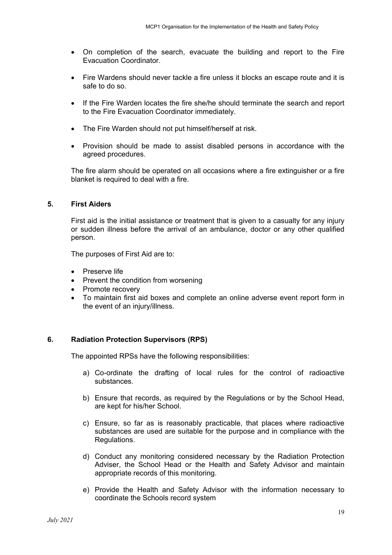- On completion of the search, evacuate the building and report to the Fire Evacuation Coordinator.
- Fire Wardens should never tackle a fire unless it blocks an escape route and it is safe to do so.
- If the Fire Warden locates the fire she/he should terminate the search and report to the Fire Evacuation Coordinator immediately.
- The Fire Warden should not put himself/herself at risk.
- Provision should be made to assist disabled persons in accordance with the agreed procedures.

The fire alarm should be operated on all occasions where a fire extinguisher or a fire blanket is required to deal with a fire.

#### **5. First Aiders**

First aid is the initial assistance or treatment that is given to a casualty for any injury or sudden illness before the arrival of an ambulance, doctor or any other qualified person.

The purposes of First Aid are to:

- Preserve life
- Prevent the condition from worsening
- Promote recovery
- To maintain first aid boxes and complete an online adverse event report form in the event of an injury/illness.

#### **6. Radiation Protection Supervisors (RPS)**

The appointed RPSs have the following responsibilities:

- a) Co-ordinate the drafting of local rules for the control of radioactive substances.
- b) Ensure that records, as required by the Regulations or by the School Head, are kept for his/her School.
- c) Ensure, so far as is reasonably practicable, that places where radioactive substances are used are suitable for the purpose and in compliance with the Regulations.
- d) Conduct any monitoring considered necessary by the Radiation Protection Adviser, the School Head or the Health and Safety Advisor and maintain appropriate records of this monitoring.
- e) Provide the Health and Safety Advisor with the information necessary to coordinate the Schools record system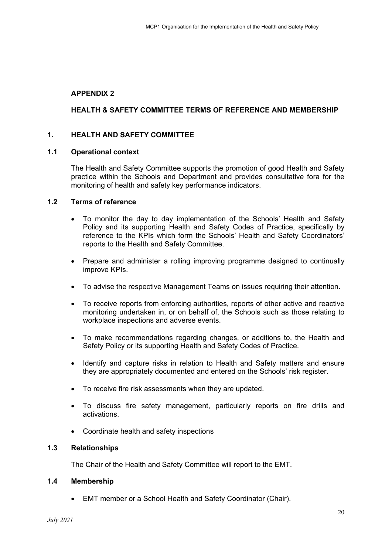# **APPENDIX 2**

# **HEALTH & SAFETY COMMITTEE TERMS OF REFERENCE AND MEMBERSHIP**

## **1. HEALTH AND SAFETY COMMITTEE**

#### **1.1 Operational context**

The Health and Safety Committee supports the promotion of good Health and Safety practice within the Schools and Department and provides consultative fora for the monitoring of health and safety key performance indicators.

#### **1.2 Terms of reference**

- To monitor the day to day implementation of the Schools' Health and Safety Policy and its supporting Health and Safety Codes of Practice, specifically by reference to the KPIs which form the Schools' Health and Safety Coordinators' reports to the Health and Safety Committee.
- Prepare and administer a rolling improving programme designed to continually improve KPIs.
- To advise the respective Management Teams on issues requiring their attention.
- To receive reports from enforcing authorities, reports of other active and reactive monitoring undertaken in, or on behalf of, the Schools such as those relating to workplace inspections and adverse events.
- To make recommendations regarding changes, or additions to, the Health and Safety Policy or its supporting Health and Safety Codes of Practice.
- Identify and capture risks in relation to Health and Safety matters and ensure they are appropriately documented and entered on the Schools' risk register.
- To receive fire risk assessments when they are updated.
- To discuss fire safety management, particularly reports on fire drills and activations.
- Coordinate health and safety inspections

#### **1.3 Relationships**

The Chair of the Health and Safety Committee will report to the EMT.

#### **1.4 Membership**

• EMT member or a School Health and Safety Coordinator (Chair).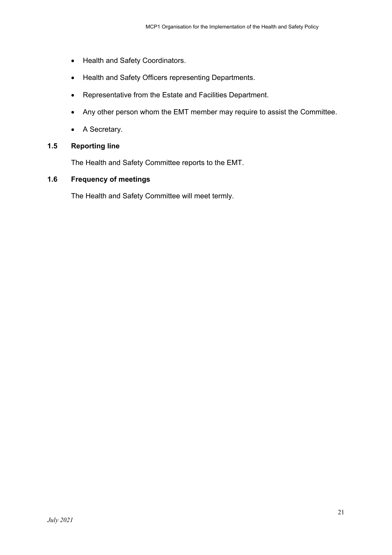- Health and Safety Coordinators.
- Health and Safety Officers representing Departments.
- Representative from the Estate and Facilities Department.
- Any other person whom the EMT member may require to assist the Committee.
- A Secretary.

# **1.5 Reporting line**

The Health and Safety Committee reports to the EMT.

# **1.6 Frequency of meetings**

The Health and Safety Committee will meet termly.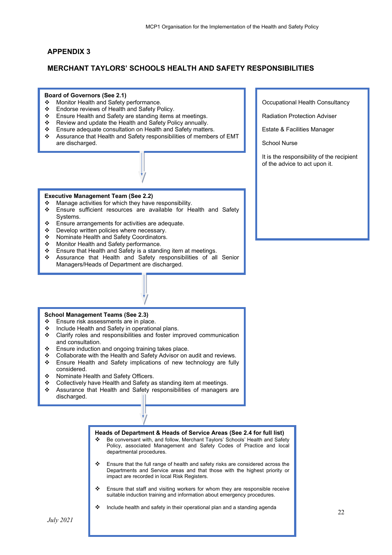#### **APPENDIX 3**

l,

#### **MERCHANT TAYLORS' SCHOOLS HEALTH AND SAFETY RESPONSIBILITIES**

#### **Board of Governors (See 2.1)**

- ❖ Monitor Health and Safety performance.
- Endorse reviews of Health and Safety Policy.
- Ensure Health and Safety are standing items at meetings.
- \* Review and update the Health and Safety Policy annually.
- Ensure adequate consultation on Health and Safety matters.
- Assurance that Health and Safety responsibilities of members of EMT are discharged.

#### **Executive Management Team (See 2.2)**

- \* Manage activities for which they have responsibility.
- Ensure sufficient resources are available for Health and Safety Systems.
- $\bullet$  Ensure arrangements for activities are adequate.
- ❖ Develop written policies where necessary.<br>↔ Nominate Health and Safety Coordinators
- Nominate Health and Safety Coordinators.
- Monitor Health and Safety performance.
- ❖ Ensure that Health and Safety is a standing item at meetings.<br>❖ Assurance that Health and Safety responsibilities of all
- Assurance that Health and Safety responsibilities of all Senior Managers/Heads of Department are discharged.

### **School Management Teams (See 2.3)**

- ❖ Ensure risk assessments are in place.
- ❖ Include Health and Safety in operational plans.<br>❖ Clarify roles and responsibilities and foster im
- Clarify roles and responsibilities and foster improved communication and consultation.
- \* Ensure induction and ongoing training takes place.
- Collaborate with the Health and Safety Advisor on audit and reviews. Ensure Health and Safety implications of new technology are fully considered.
- ❖ Nominate Health and Safety Officers.
- Collectively have Health and Safety as standing item at meetings.
- Assurance that Health and Safety responsibilities of managers are discharged.

# **Heads of Department & Heads of Service Areas (See 2.4 for full list)**  Be conversant with, and follow, Merchant Taylors' Schools' Health and Safety Policy, associated Management and Safety Codes of Practice and local departmental procedures. Ensure that the full range of health and safety risks are considered across the Departments and Service areas and that those with the highest priority or impact are recorded in local Risk Registers.

- $\div$  Ensure that staff and visiting workers for whom they are responsible receive suitable induction training and information about emergency procedures.
- Include health and safety in their operational plan and a standing agenda

Occupational Health Consultancy

Radiation Protection Adviser

Estate & Facilities Manager

School Nurse

It is the responsibility of the recipient of the advice to act upon it.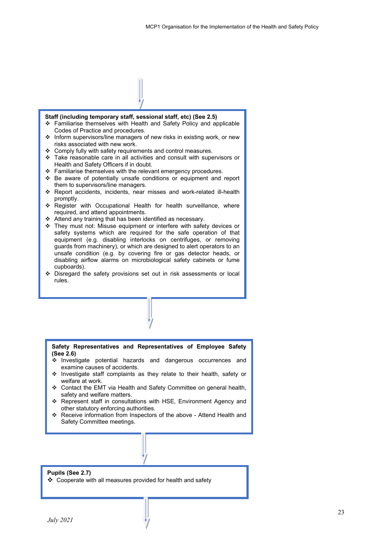#### **Staff (including temporary staff, sessional staff, etc) (See 2.5)**

- Familiarise themselves with Health and Safety Policy and applicable Codes of Practice and procedures.
- $\cdot \cdot$  Inform supervisors/line managers of new risks in existing work, or new risks associated with new work.
- Comply fully with safety requirements and control measures.
- Take reasonable care in all activities and consult with supervisors or Health and Safety Officers if in doubt.
- $\div$  Familiarise themselves with the relevant emergency procedures.
- Be aware of potentially unsafe conditions or equipment and report them to supervisors/line managers.
- Report accidents, incidents, near misses and work-related ill-health promptly.
- Register with Occupational Health for health surveillance, where required, and attend appointments.
- Attend any training that has been identified as necessary.
- \* They must not: Misuse equipment or interfere with safety devices or safety systems which are required for the safe operation of that equipment (e.g. disabling interlocks on centrifuges, or removing guards from machinery), or which are designed to alert operators to an unsafe condition (e.g. by covering fire or gas detector heads, or disabling airflow alarms on microbiological safety cabinets or fume cupboards).
- Disregard the safety provisions set out in risk assessments or local rules.

#### **Safety Representatives and Representatives of Employee Safety (See 2.6)**

- Investigate potential hazards and dangerous occurrences and examine causes of accidents.
- Investigate staff complaints as they relate to their health, safety or welfare at work.
- Contact the EMT via Health and Safety Committee on general health, safety and welfare matters.
- Represent staff in consultations with HSE, Environment Agency and other statutory enforcing authorities.
- Receive information from Inspectors of the above Attend Health and Safety Committee meetings.

#### **Pupils (See 2.7)**

Cooperate with all measures provided for health and safety